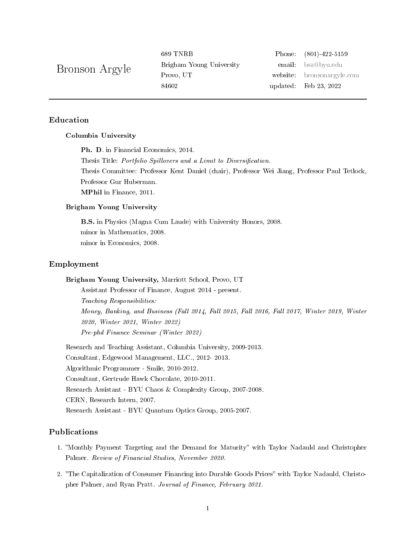Bronson Argyle

Brigham Young University email: [bsa@byu.edu](mailto:bsa@byu.edu) 84602 updated: Feb 23, 2022

689 TNRB Phone: (801)-422-5159 Provo, UT website: [bronsonargyle.com](http://bronsonargyle.com)

# Education

#### Columbia University

Ph. D. in Financial Economics, 2014. Thesis Title: Portfolio Spillovers and a Limit to Diversification. Thesis Committee: Professor Kent Daniel (chair), Professor Wei Jiang, Professor Paul Tetlock, Professor Gur Huberman. MPhil in Finance, 2011.

## Brigham Young University

B.S. in Physics (Magna Cum Laude) with University Honors, 2008. minor in Mathematics, 2008. minor in Economics, 2008.

### Employment

Brigham Young University, Marriott School, Provo, UT

Assistant Professor of Finance, August 2014 - present. Teaching Responsibilities: Money, Banking, and Business (Fall 2014, Fall 2015, Fall 2016, Fall 2017, Winter 2019, Winter 2020, Winter 2021, Winter 2022) Pre-phd Finance Seminar (Winter 2022)

Research and Teaching Assistant, Columbia University, 2009-2013. Consultant, Edgewood Management, LLC., 2012- 2013. Algorithmic Programmer - Smile, 2010-2012. Consultant, Gertrude Hawk Chocolate, 2010-2011. Research Assistant - BYU Chaos & Complexity Group, 2007-2008. CERN, Research Intern, 2007. Research Assistant - BYU Quantum Optics Group, 2005-2007.

# Publications

- 1. "Monthly Payment Targeting and the Demand for Maturity" with Taylor Nadauld and Christopher Palmer. Review of Financial Studies, November 2020.
- 2. "The Capitalization of Consumer Financing into Durable Goods Prices" with Taylor Nadauld, Christopher Palmer, and Ryan Pratt. Journal of Finance, February 2021.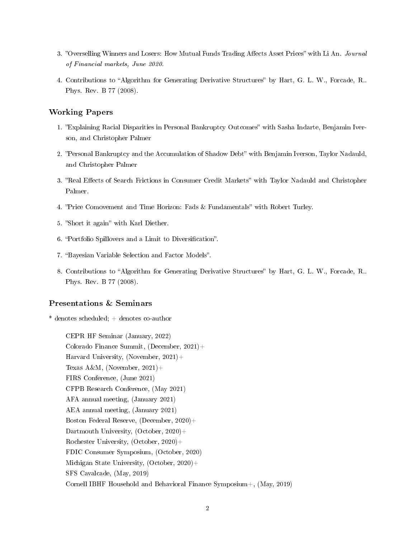- 3. "Overselling Winners and Losers: How Mutual Funds Trading Affects Asset Prices" with Li An. Journal of Financial markets, June 2020.
- 4. Contributions to "Algorithm for Generating Derivative Structures" by Hart, G. L. W., Forcade, R., Phys. Rev. B 77 (2008).

## Working Papers

- 1. "Explaining Racial Disparities in Personal Bankruptcy Outcomes" with Sasha Indarte, Benjamin Iverson, and Christopher Palmer
- 2. "Personal Bankruptcy and the Accumulation of Shadow Debt" with Benjamin Iverson, Taylor Nadauld, and Christopher Palmer
- 3. "Real Effects of Search Frictions in Consumer Credit Markets" with Taylor Nadauld and Christopher Palmer.
- 4. "Price Comovement and Time Horizon: Fads & Fundamentals" with Robert Turley.
- 5. "Short it again" with Karl Diether.
- 6. "Portfolio Spillovers and a Limit to Diversification".
- 7. "Bayesian Variable Selection and Factor Models".
- 8. Contributions to "Algorithm for Generating Derivative Structures" by Hart, G. L. W., Forcade, R. Phys. Rev. B 77 (2008).

## Presentations & Seminars

\* denotes scheduled; + denotes co-author

CEPR HF Seminar (January, 2022) Colorado Finance Summit, (December, 2021)+ Harvard University, (November,  $2021$ )+ Texas A&M, (November,  $2021$ )+ FIRS Conference, (June 2021) CFPB Research Conference, (May 2021) AFA annual meeting, (January 2021) AEA annual meeting, (January 2021) Boston Federal Reserve, (December, 2020)+ Dartmouth University, (October, 2020)+ Rochester University, (October, 2020)+ FDIC Consumer Symposium, (October, 2020) Michigan State University, (October, 2020)+ SFS Cavalcade, (May, 2019) Cornell IBHF Household and Behavioral Finance Symposium+, (May, 2019)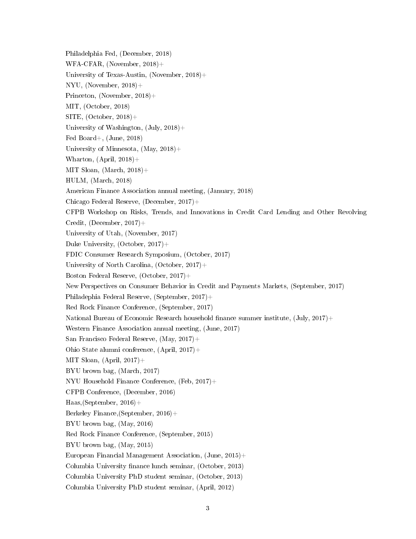Philadelphia Fed, (December, 2018) WFA-CFAR, (November, 2018)+ University of Texas-Austin, (November, 2018)+ NYU, (November, 2018)+ Princeton, (November, 2018)+ MIT, (October, 2018) SITE,  $(October, 2018) +$ University of Washington,  $(\text{July}, 2018) +$ Fed Board+, (June, 2018) University of Minnesota, (May, 2018)+ Wharton,  $(Apri, 2018)$ + MIT Sloan,  $(March, 2018)$ + HULM, (March, 2018) American Finance Association annual meeting, (January, 2018) Chicago Federal Reserve, (December, 2017)+ CFPB Workshop on Risks, Trends, and Innovations in Credit Card Lending and Other Revolving Credit, (December,  $2017$ )+ University of Utah, (November, 2017) Duke University, (October, 2017)+ FDIC Consumer Research Symposium, (October, 2017) University of North Carolina, (October, 2017)+ Boston Federal Reserve, (October, 2017)+ New Perspectives on Consumer Behavior in Credit and Payments Markets, (September, 2017) Philadephia Federal Reserve, (September, 2017)+ Red Rock Finance Conference, (September, 2017) National Bureau of Economic Research household finance summer institute,  $(\text{July}, 2017) +$ Western Finance Association annual meeting, (June, 2017) San Francisco Federal Reserve, (May, 2017)+ Ohio State alumni conference, (April, 2017)+ MIT Sloan,  $(April, 2017)$ + BYU brown bag, (March, 2017) NYU Household Finance Conference, (Feb, 2017)+ CFPB Conference, (December, 2016) Haas,(September, 2016)+ Berkeley Finance,(September, 2016)+ BYU brown bag, (May, 2016) Red Rock Finance Conference, (September, 2015) BYU brown bag, (May, 2015) European Financial Management Association, (June, 2015)+ Columbia University finance lunch seminar, (October, 2013) Columbia University PhD student seminar, (October, 2013) Columbia University PhD student seminar, (April, 2012)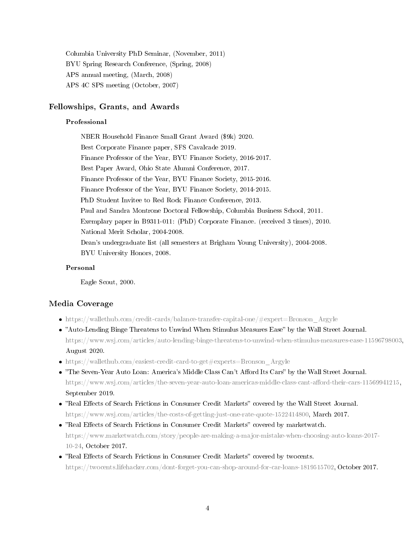Columbia University PhD Seminar, (November, 2011) BYU Spring Research Conference, (Spring, 2008) APS annual meeting, (March, 2008) APS 4C SPS meeting (October, 2007)

### Fellowships, Grants, and Awards

#### Professional

NBER Household Finance Small Grant Award (\$9k) 2020. Best Corporate Finance paper, SFS Cavalcade 2019. Finance Professor of the Year, BYU Finance Society, 2016-2017. Best Paper Award, Ohio State Alumni Conference, 2017. Finance Professor of the Year, BYU Finance Society, 2015-2016. Finance Professor of the Year, BYU Finance Society, 2014-2015. PhD Student Invitee to Red Rock Finance Conference, 2013. Paul and Sandra Montrone Doctoral Fellowship, Columbia Business School, 2011. Exemplary paper in B9311-011: (PhD) Corporate Finance. (received 3 times), 2010. National Merit Scholar, 2004-2008. Dean's undergraduate list (all semesters at Brigham Young University), 2004-2008. BYU University Honors, 2008.

#### Personal

Eagle Scout, 2000.

### Media Coverage

- [https://wallethub.com/credit-cards/balance-transfer-capital-one/#expert=Bronson\\_Argyle](https://wallethub.com/credit-cards/balance-transfer-capital-one/#expert=Bronson_Argyle)
- "Auto-Lending Binge Threatens to Unwind When Stimulus Measures Ease" by the Wall Street Journal. [https://www.wsj.com/articles/auto-lending-binge-threatens-to-unwind-when-stimulus-measures-ease-11596798003,](https://www.wsj.com/articles/auto-lending-binge-threatens-to-unwind-when-stimulus-measures-ease-11596798003) August 2020.
- [https://wallethub.com/easiest-credit-card-to-get#experts=Bronson\\_Argyle](https://wallethub.com/easiest-credit-card-to-get#experts=Bronson_Argyle)
- . "The Seven-Year Auto Loan: America's Middle Class Can't Afford Its Cars" by the Wall Street Journal. https://www.wsj.com/articles/the-seven-year-auto-loan-americas-middle-class-cant-afford-their-cars-11569941215, September 2019.
- "Real Effects of Search Frictions in Consumer Credit Markets" covered by the Wall Street Journal. [https://www.wsj.com/articles/the-costs-of-getting-just-one-rate-quote-1522414800,](https://www.wsj.com/articles/the-costs-of-getting-just-one-rate-quote-1522414800) March 2017.
- "Real Effects of Search Frictions in Consumer Credit Markets" covered by marketwatch. [https://www.marketwatch.com/story/people-are-making-a-major-mistake-when-choosing-auto-loans-2](https://www.marketwatch.com/story/people-are-making-a-major-mistake-when-choosing-auto-loans-2017-10-24)017- [10-24,](https://www.marketwatch.com/story/people-are-making-a-major-mistake-when-choosing-auto-loans-2017-10-24) October 2017.
- "Real Effects of Search Frictions in Consumer Credit Markets" covered by twocents. [https://twocents.lifehacker.com/dont-forget-you-can-shop-around-for-car-loans-1819515702,](https://twocents.lifehacker.com/dont-forget-you-can-shop-around-for-car-loans-1819515702) October 2017.